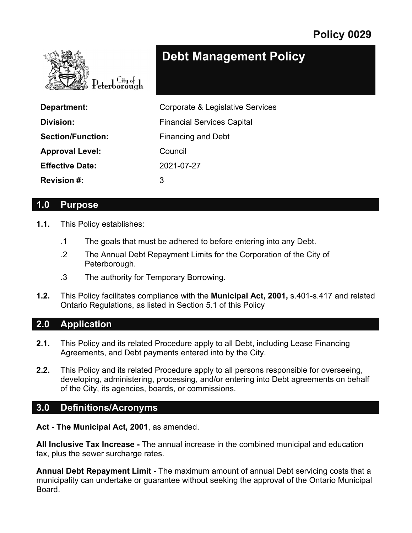

**Debt Management Policy**

| Department:              | Corporate & Legislative Services  |
|--------------------------|-----------------------------------|
| Division:                | <b>Financial Services Capital</b> |
| <b>Section/Function:</b> | <b>Financing and Debt</b>         |
| <b>Approval Level:</b>   | Council                           |
| <b>Effective Date:</b>   | 2021-07-27                        |
| <b>Revision #:</b>       | 3                                 |

#### **1.0 Purpose**

- **1.1.** This Policy establishes:
	- .1 The goals that must be adhered to before entering into any Debt.
	- .2 The Annual Debt Repayment Limits for the Corporation of the City of Peterborough.
	- .3 The authority for Temporary Borrowing.
- **1.2.** This Policy facilitates compliance with the **Municipal Act, 2001,** s.401-s.417 and related Ontario Regulations, as listed in Section 5.1 of this Policy

#### **2.0 Application**

- **2.1.** This Policy and its related Procedure apply to all Debt, including Lease Financing Agreements, and Debt payments entered into by the City.
- **2.2.** This Policy and its related Procedure apply to all persons responsible for overseeing, developing, administering, processing, and/or entering into Debt agreements on behalf of the City, its agencies, boards, or commissions.

#### **3.0 Definitions/Acronyms**

**Act - The Municipal Act, 2001**, as amended.

**All Inclusive Tax Increase -** The annual increase in the combined municipal and education tax, plus the sewer surcharge rates.

**Annual Debt Repayment Limit -** The maximum amount of annual Debt servicing costs that a municipality can undertake or guarantee without seeking the approval of the Ontario Municipal Board.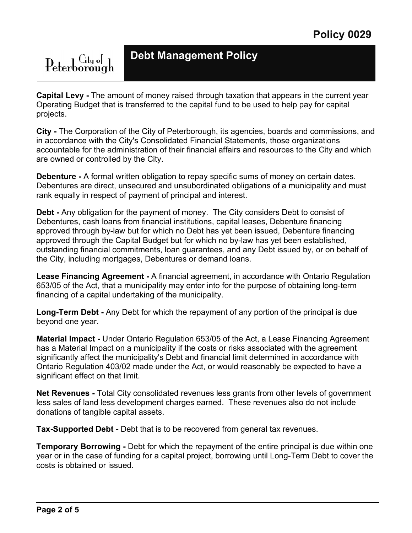# Peterborough

**Debt Management Policy**

**Capital Levy -** The amount of money raised through taxation that appears in the current year Operating Budget that is transferred to the capital fund to be used to help pay for capital projects.

**City -** The Corporation of the City of Peterborough, its agencies, boards and commissions, and in accordance with the City's Consolidated Financial Statements, those organizations accountable for the administration of their financial affairs and resources to the City and which are owned or controlled by the City.

**Debenture -** A formal written obligation to repay specific sums of money on certain dates. Debentures are direct, unsecured and unsubordinated obligations of a municipality and must rank equally in respect of payment of principal and interest.

**Debt -** Any obligation for the payment of money. The City considers Debt to consist of Debentures, cash loans from financial institutions, capital leases, Debenture financing approved through by-law but for which no Debt has yet been issued, Debenture financing approved through the Capital Budget but for which no by-law has yet been established, outstanding financial commitments, loan guarantees, and any Debt issued by, or on behalf of the City, including mortgages, Debentures or demand loans.

**Lease Financing Agreement -** A financial agreement, in accordance with Ontario Regulation 653/05 of the Act, that a municipality may enter into for the purpose of obtaining long-term financing of a capital undertaking of the municipality.

**Long-Term Debt -** Any Debt for which the repayment of any portion of the principal is due beyond one year.

**Material Impact -** Under Ontario Regulation 653/05 of the Act, a Lease Financing Agreement has a Material Impact on a municipality if the costs or risks associated with the agreement significantly affect the municipality's Debt and financial limit determined in accordance with Ontario Regulation 403/02 made under the Act, or would reasonably be expected to have a significant effect on that limit.

**Net Revenues -** Total City consolidated revenues less grants from other levels of government less sales of land less development charges earned. These revenues also do not include donations of tangible capital assets.

**Tax-Supported Debt -** Debt that is to be recovered from general tax revenues.

**Temporary Borrowing -** Debt for which the repayment of the entire principal is due within one year or in the case of funding for a capital project, borrowing until Long-Term Debt to cover the costs is obtained or issued.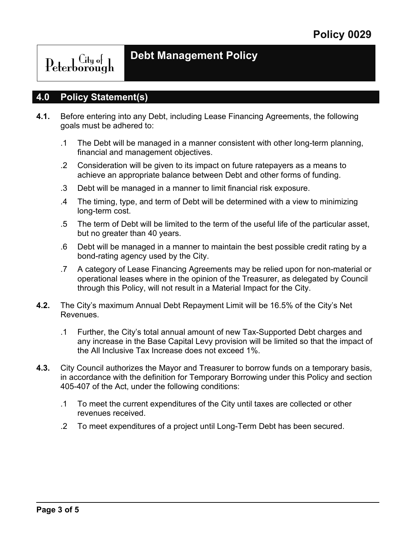Peterborough

### **Debt Management Policy**

#### **4.0 Policy Statement(s)**

- **4.1.** Before entering into any Debt, including Lease Financing Agreements, the following goals must be adhered to:
	- .1 The Debt will be managed in a manner consistent with other long-term planning, financial and management objectives.
	- .2 Consideration will be given to its impact on future ratepayers as a means to achieve an appropriate balance between Debt and other forms of funding.
	- .3 Debt will be managed in a manner to limit financial risk exposure.
	- .4 The timing, type, and term of Debt will be determined with a view to minimizing long-term cost.
	- .5 The term of Debt will be limited to the term of the useful life of the particular asset, but no greater than 40 years.
	- .6 Debt will be managed in a manner to maintain the best possible credit rating by a bond-rating agency used by the City.
	- .7 A category of Lease Financing Agreements may be relied upon for non-material or operational leases where in the opinion of the Treasurer, as delegated by Council through this Policy, will not result in a Material Impact for the City.
- **4.2.** The City's maximum Annual Debt Repayment Limit will be 16.5% of the City's Net Revenues.
	- .1 Further, the City's total annual amount of new Tax-Supported Debt charges and any increase in the Base Capital Levy provision will be limited so that the impact of the All Inclusive Tax Increase does not exceed 1%.
- **4.3.** City Council authorizes the Mayor and Treasurer to borrow funds on a temporary basis, in accordance with the definition for Temporary Borrowing under this Policy and section 405-407 of the Act, under the following conditions:
	- .1 To meet the current expenditures of the City until taxes are collected or other revenues received.
	- .2 To meet expenditures of a project until Long-Term Debt has been secured.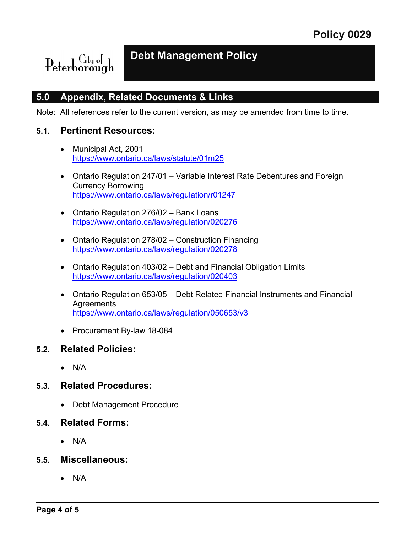$\operatorname{Peterborough}$ 

### **Debt Management Policy**

#### **5.0 Appendix, Related Documents & Links**

Note: All references refer to the current version, as may be amended from time to time.

#### **5.1. Pertinent Resources:**

- Municipal Act, 2001 <https://www.ontario.ca/laws/statute/01m25>
- Ontario Regulation 247/01 Variable Interest Rate Debentures and Foreign Currency Borrowing <https://www.ontario.ca/laws/regulation/r01247>
- Ontario Regulation 276/02 Bank Loans <https://www.ontario.ca/laws/regulation/020276>
- Ontario Regulation 278/02 Construction Financing <https://www.ontario.ca/laws/regulation/020278>
- Ontario Regulation 403/02 Debt and Financial Obligation Limits <https://www.ontario.ca/laws/regulation/020403>
- Ontario Regulation 653/05 Debt Related Financial Instruments and Financial **Agreements** <https://www.ontario.ca/laws/regulation/050653/v3>
- Procurement By-law 18-084

#### **5.2. Related Policies:**

• N/A

#### **5.3. Related Procedures:**

- Debt Management Procedure
- **5.4. Related Forms:**
	- N/A
- **5.5. Miscellaneous:**
	- N/A